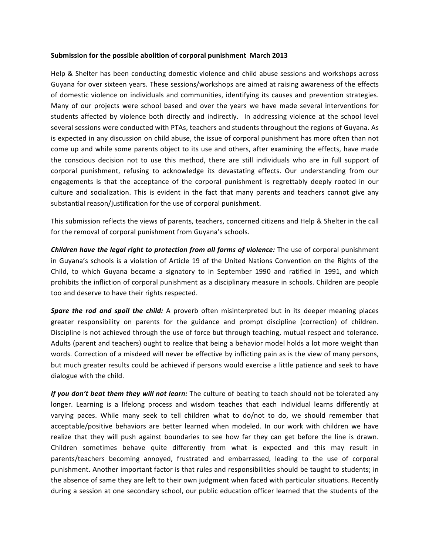## **Submission for the possible abolition of corporal punishment March 2013**

Help & Shelter has been conducting domestic violence and child abuse sessions and workshops across Guyana for over sixteen years. These sessions/workshops are aimed at raising awareness of the effects of domestic violence on individuals and communities, identifying its causes and prevention strategies. Many of our projects were school based and over the years we have made several interventions for students affected by violence both directly and indirectly. In addressing violence at the school level several sessions were conducted with PTAs, teachers and students throughout the regions of Guyana. As is expected in any discussion on child abuse, the issue of corporal punishment has more often than not come up and while some parents object to its use and others, after examining the effects, have made the conscious decision not to use this method, there are still individuals who are in full support of corporal punishment, refusing to acknowledge its devastating effects. Our understanding from our engagements is that the acceptance of the corporal punishment is regrettably deeply rooted in our culture and socialization. This is evident in the fact that many parents and teachers cannot give any substantial reason/justification for the use of corporal punishment.

This submission reflects the views of parents, teachers, concerned citizens and Help & Shelter in the call for the removal of corporal punishment from Guyana's schools.

**Children have the legal right to protection from all forms of violence:** The use of corporal punishment in Guyana's schools is a violation of Article 19 of the United Nations Convention on the Rights of the Child, to which Guyana became a signatory to in September 1990 and ratified in 1991, and which prohibits the infliction of corporal punishment as a disciplinary measure in schools. Children are people too and deserve to have their rights respected.

**Spare the rod and spoil the child:** A proverb often misinterpreted but in its deeper meaning places greater responsibility on parents for the guidance and prompt discipline (correction) of children. Discipline is not achieved through the use of force but through teaching, mutual respect and tolerance. Adults (parent and teachers) ought to realize that being a behavior model holds a lot more weight than words. Correction of a misdeed will never be effective by inflicting pain as is the view of many persons, but much greater results could be achieved if persons would exercise a little patience and seek to have dialogue with the child.

*If* you don't beat them they will not learn: The culture of beating to teach should not be tolerated any longer. Learning is a lifelong process and wisdom teaches that each individual learns differently at varying paces. While many seek to tell children what to do/not to do, we should remember that acceptable/positive behaviors are better learned when modeled. In our work with children we have realize that they will push against boundaries to see how far they can get before the line is drawn. Children sometimes behave quite differently from what is expected and this may result in parents/teachers becoming annoyed, frustrated and embarrassed, leading to the use of corporal punishment. Another important factor is that rules and responsibilities should be taught to students; in the absence of same they are left to their own judgment when faced with particular situations. Recently during a session at one secondary school, our public education officer learned that the students of the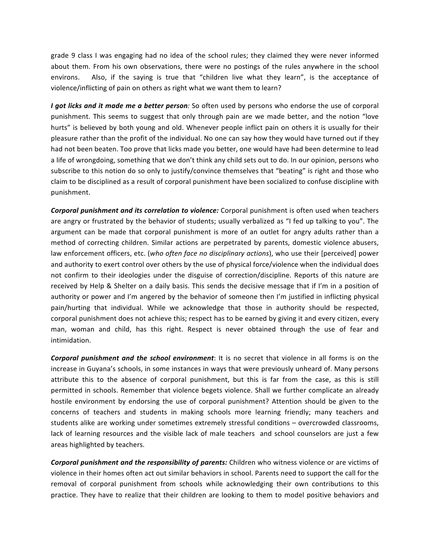grade 9 class I was engaging had no idea of the school rules; they claimed they were never informed about them. From his own observations, there were no postings of the rules anywhere in the school environs. Also, if the saying is true that "children live what they learn", is the acceptance of violence/inflicting of pain on others as right what we want them to learn?

*I* got licks and it made me a better person: So often used by persons who endorse the use of corporal punishment. This seems to suggest that only through pain are we made better, and the notion "love hurts" is believed by both young and old. Whenever people inflict pain on others it is usually for their pleasure rather than the profit of the individual. No one can say how they would have turned out if they had not been beaten. Too prove that licks made you better, one would have had been determine to lead a life of wrongdoing, something that we don't think any child sets out to do. In our opinion, persons who subscribe to this notion do so only to justify/convince themselves that "beating" is right and those who claim to be disciplined as a result of corporal punishment have been socialized to confuse discipline with punishment.

**Corporal punishment and its correlation to violence:** Corporal punishment is often used when teachers are angry or frustrated by the behavior of students; usually verbalized as "I fed up talking to you". The argument can be made that corporal punishment is more of an outlet for angry adults rather than a method of correcting children. Similar actions are perpetrated by parents, domestic violence abusers, law enforcement officers, etc. (who often face no disciplinary actions), who use their [perceived] power and authority to exert control over others by the use of physical force/violence when the individual does not confirm to their ideologies under the disguise of correction/discipline. Reports of this nature are received by Help & Shelter on a daily basis. This sends the decisive message that if I'm in a position of authority or power and I'm angered by the behavior of someone then I'm justified in inflicting physical pain/hurting that individual. While we acknowledge that those in authority should be respected, corporal punishment does not achieve this; respect has to be earned by giving it and every citizen, every man, woman and child, has this right. Respect is never obtained through the use of fear and intimidation.

**Corporal punishment and the school environment**: It is no secret that violence in all forms is on the increase in Guyana's schools, in some instances in ways that were previously unheard of. Many persons attribute this to the absence of corporal punishment, but this is far from the case, as this is still permitted in schools. Remember that violence begets violence. Shall we further complicate an already hostile environment by endorsing the use of corporal punishment? Attention should be given to the concerns of teachers and students in making schools more learning friendly; many teachers and students alike are working under sometimes extremely stressful conditions – overcrowded classrooms, lack of learning resources and the visible lack of male teachers and school counselors are just a few areas highlighted by teachers.

**Corporal punishment and the responsibility of parents:** Children who witness violence or are victims of violence in their homes often act out similar behaviors in school. Parents need to support the call for the removal of corporal punishment from schools while acknowledging their own contributions to this practice. They have to realize that their children are looking to them to model positive behaviors and